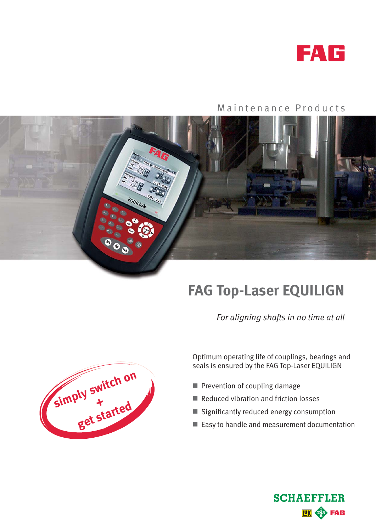

## Maintenance Products



## **FAG Top-Laser EQUILIGN**

*For aligning shafts in no time at all*



Optimum operating life of couplings, bearings and seals is ensured by the FAG Top-Laser EQUILIGN

- Prevention of coupling damage
- Reduced vibration and friction losses
- $\blacksquare$  Significantly reduced energy consumption
- Easy to handle and measurement documentation